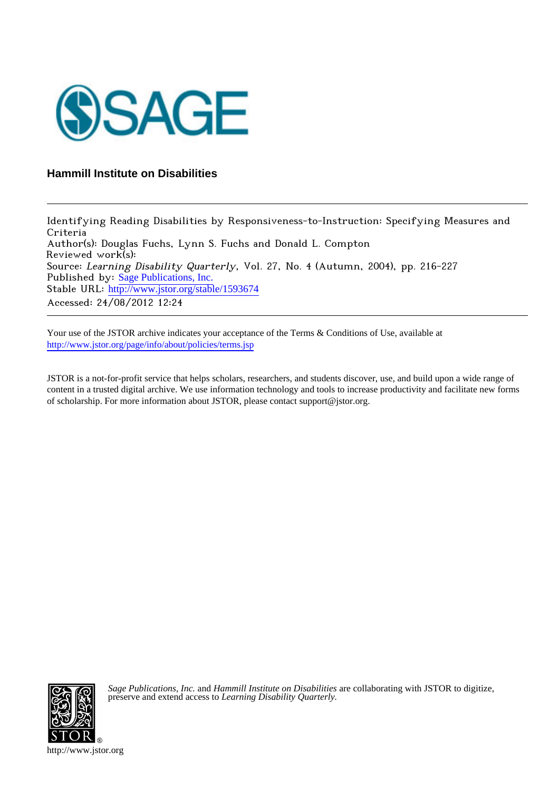

# **Hammill Institute on Disabilities**

Identifying Reading Disabilities by Responsiveness-to-Instruction: Specifying Measures and Criteria Author(s): Douglas Fuchs, Lynn S. Fuchs and Donald L. Compton Reviewed work(s): Source: Learning Disability Quarterly, Vol. 27, No. 4 (Autumn, 2004), pp. 216-227 Published by: [Sage Publications, Inc.](http://www.jstor.org/action/showPublisher?publisherCode=sage) Stable URL: [http://www.jstor.org/stable/1593674](http://www.jstor.org/stable/1593674?origin=JSTOR-pdf) Accessed: 24/08/2012 12:24

Your use of the JSTOR archive indicates your acceptance of the Terms & Conditions of Use, available at <http://www.jstor.org/page/info/about/policies/terms.jsp>

JSTOR is a not-for-profit service that helps scholars, researchers, and students discover, use, and build upon a wide range of content in a trusted digital archive. We use information technology and tools to increase productivity and facilitate new forms of scholarship. For more information about JSTOR, please contact support@jstor.org.



*Sage Publications, Inc.* and *Hammill Institute on Disabilities* are collaborating with JSTOR to digitize, preserve and extend access to *Learning Disability Quarterly.*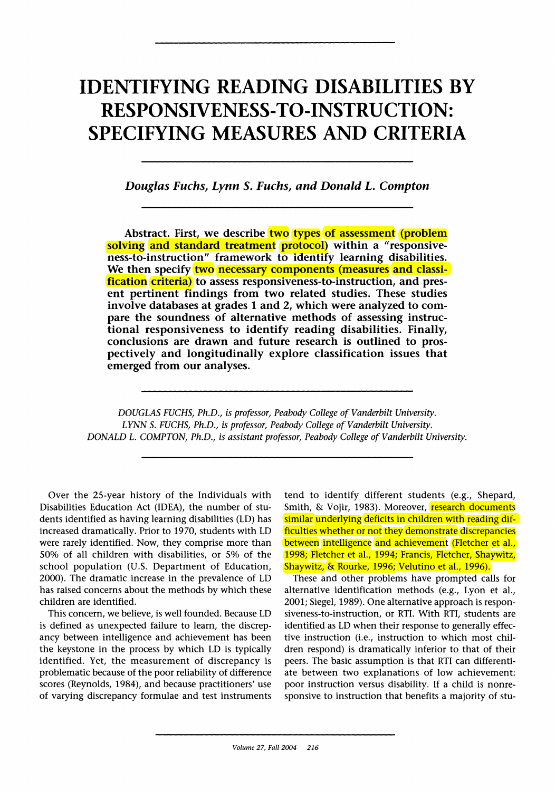# **IDENTIFYING READING DISABILITIES BY RESPONSIVENESS-TO-INSTRUCTION: SPECIFYING MEASURES AND CRITERIA**

**Douglas Fuchs, Lynn S. Fuchs, and Donald L. Compton** 

Abstract. First, we describe **two** types of assessment (problem **solving and standard treatment protocol) within a "responsiveness-to-instruction" framework to identify learning disabilities.**  We then specify **two** necessary components (measures and classi**fication criteria) to assess responsiveness-to-instruction, and present pertinent findings from two related studies. These studies involve databases at grades 1 and 2, which were analyzed to compare the soundness of alternative methods of assessing instructional responsiveness to identify reading disabilities. Finally, conclusions are drawn and future research is outlined to prospectively and longitudinally explore classification issues that emerged from our analyses.** 

**DOUGLAS FUCHS, Ph.D., is professor, Peabody College of Vanderbilt University. LYNN S. FUCHS, Ph.D., is professor, Peabody College of Vanderbilt University. DONALD L. COMPTON, Ph.D., is assistant professor, Peabody College of Vanderbilt University.** 

**Over the 25-year history of the Individuals with Disabilities Education Act (IDEA), the number of students identified as having learning disabilities (LD) has increased dramatically. Prior to 1970, students with LD were rarely identified. Now, they comprise more than 50% of all children with disabilities, or 5% of the school population (U.S. Department of Education, 2000). The dramatic increase in the prevalence of LD has raised concerns about the methods by which these children are identified.** 

**This concern, we believe, is well founded. Because LD is defined as unexpected failure to learn, the discrepancy between intelligence and achievement has been the keystone in the process by which LD is typically identified. Yet, the measurement of discrepancy is problematic because of the poor reliability of difference scores (Reynolds, 1984), and because practitioners' use of varying discrepancy formulae and test instruments**  **tend to identify different students (e.g., Shepard, Smith, & Vojir, 1983). Moreover, research documents similar underlying deficits in children with reading difficulties whether or not they demonstrate discrepancies between intelligence and achievement (Fletcher et al., 1998; Fletcher et al., 1994; Francis, Fletcher, Shaywitz, Shaywitz, & Rourke, 1996; Velutino et al., 1996).** 

**These and other problems have prompted calls for alternative identification methods (e.g., Lyon et al., 2001; Siegel, 1989). One alternative approach is responsiveness-to-instruction, or RTI. With RTI, students are identified as LD when their response to generally effective instruction (i.e., instruction to which most children respond) is dramatically inferior to that of their peers. The basic assumption is that RTI can differentiate between two explanations of low achievement: poor instruction versus disability. If a child is nonresponsive to instruction that benefits a majority of stu-**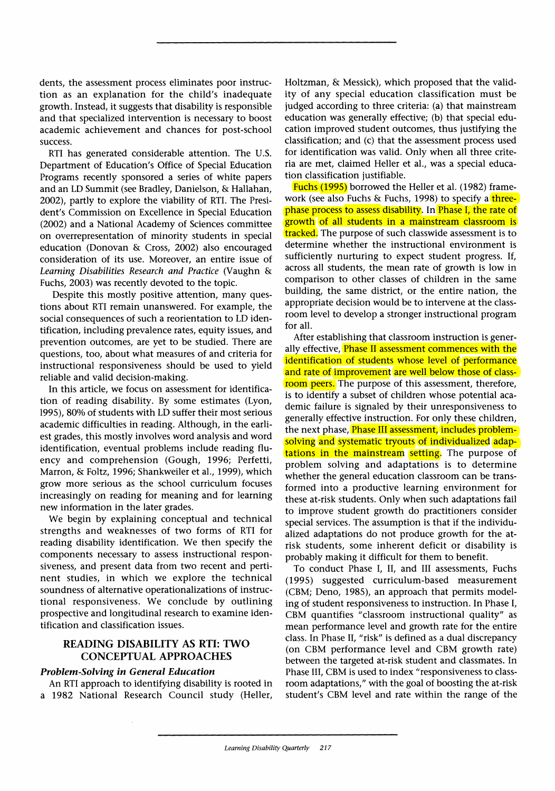**dents, the assessment process eliminates poor instruction as an explanation for the child's inadequate growth. Instead, it suggests that disability is responsible and that specialized intervention is necessary to boost academic achievement and chances for post-school success.** 

**RTI has generated considerable attention. The U.S. Department of Education's Office of Special Education Programs recently sponsored a series of white papers and an LD Summit (see Bradley, Danielson, & Hallahan, 2002), partly to explore the viability of RTI. The President's Commission on Excellence in Special Education (2002) and a National Academy of Sciences committee on overrepresentation of minority students in special education (Donovan & Cross, 2002) also encouraged consideration of its use. Moreover, an entire issue of Learning Disabilities Research and Practice (Vaughn & Fuchs, 2003) was recently devoted to the topic.** 

**Despite this mostly positive attention, many questions about RTI remain unanswered. For example, the social consequences of such a reorientation to LD identification, including prevalence rates, equity issues, and prevention outcomes, are yet to be studied. There are questions, too, about what measures of and criteria for instructional responsiveness should be used to yield reliable and valid decision-making.** 

**In this article, we focus on assessment for identification of reading disability. By some estimates (Lyon, 1995), 80% of students with LD suffer their most serious academic difficulties in reading. Although, in the earliest grades, this mostly involves word analysis and word identification, eventual problems include reading fluency and comprehension (Gough, 1996; Perfetti, Marron, & Foltz, 1996; Shankweiler et al., 1999), which grow more serious as the school curriculum focuses increasingly on reading for meaning and for learning new information in the later grades.** 

**We begin by explaining conceptual and technical strengths and weaknesses of two forms of RTI for reading disability identification. We then specify the components necessary to assess instructional responsiveness, and present data from two recent and pertinent studies, in which we explore the technical soundness of alternative operationalizations of instructional responsiveness. We conclude by outlining prospective and longitudinal research to examine identification and classification issues.** 

## **READING DISABILITY AS RTI: TWO CONCEPTUAL APPROACHES**

# **Problem-Solving in General Education**

**An RTI approach to identifying disability is rooted in a 1982 National Research Council study (Heller,**  **Holtzman, & Messick), which proposed that the validity of any special education classification must be judged according to three criteria: (a) that mainstream education was generally effective; (b) that special education improved student outcomes, thus justifying the classification; and (c) that the assessment process used for identification was valid. Only when all three criteria are met, claimed Heller et al., was a special education classification justifiable.** 

**Fuchs (1995) borrowed the Heller et al. (1982) framework (see also Fuchs & Fuchs, 1998) to specify a threephase process to assess disability. In Phase I, the rate of growth of all students in a mainstream classroom is tracked. The purpose of such classwide assessment is to determine whether the instructional environment is sufficiently nurturing to expect student progress. If, across all students, the mean rate of growth is low in comparison to other classes of children in the same building, the same district, or the entire nation, the appropriate decision would be to intervene at the classroom level to develop a stronger instructional program for all.** 

**After establishing that classroom instruction is generally effective, Phase II assessment commences with the identification of students whose level of performance and rate of improvement are well below those of classroom peers. The purpose of this assessment, therefore, is to identify a subset of children whose potential academic failure is signaled by their unresponsiveness to generally effective instruction. For only these children, the next phase, Phase III assessment, includes problem**solving and systematic tryouts of individualized adap**tations in the mainstream setting. The purpose of problem solving and adaptations is to determine whether the general education classroom can be transformed into a productive learning environment for these at-risk students. Only when such adaptations fail to improve student growth do practitioners consider special services. The assumption is that if the individualized adaptations do not produce growth for the atrisk students, some inherent deficit or disability is probably making it difficult for them to benefit.** 

**To conduct Phase I, II, and III assessments, Fuchs (1995) suggested curriculum-based measurement (CBM; Deno, 1985), an approach that permits modeling of student responsiveness to instruction. In Phase I, CBM quantifies "classroom instructional quality" as mean performance level and growth rate for the entire class. In Phase II, "risk" is defined as a dual discrepancy (on CBM performance level and CBM growth rate) between the targeted at-risk student and classmates. In Phase III, CBM is used to index "responsiveness to classroom adaptations," with the goal of boosting the at-risk student's CBM level and rate within the range of the**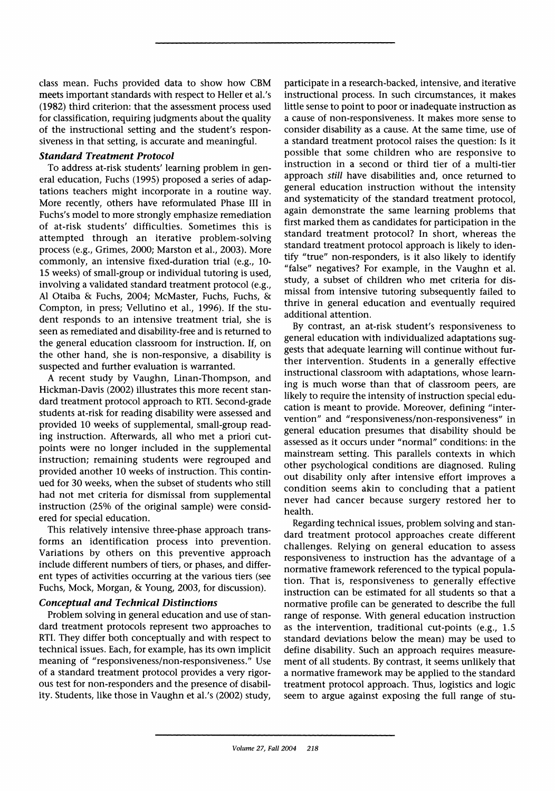**class mean. Fuchs provided data to show how CBM meets important standards with respect to Heller et al.'s (1982) third criterion: that the assessment process used for classification, requiring judgments about the quality of the instructional setting and the student's responsiveness in that setting, is accurate and meaningful.** 

#### **Standard Treatment Protocol**

**To address at-risk students' learning problem in general education, Fuchs (1995) proposed a series of adaptations teachers might incorporate in a routine way. More recently, others have reformulated Phase III in Fuchs's model to more strongly emphasize remediation of at-risk students' difficulties. Sometimes this is attempted through an iterative problem-solving process (e.g., Grimes, 2000; Marston et al., 2003). More commonly, an intensive fixed-duration trial (e.g., 10- 15 weeks) of small-group or individual tutoring is used, involving a validated standard treatment protocol (e.g., Al Otaiba & Fuchs, 2004; McMaster, Fuchs, Fuchs, & Compton, in press; Vellutino et al., 1996). If the student responds to an intensive treatment trial, she is seen as remediated and disability-free and is returned to the general education classroom for instruction. If, on the other hand, she is non-responsive, a disability is suspected and further evaluation is warranted.** 

**A recent study by Vaughn, Linan-Thompson, and Hickman-Davis (2002) illustrates this more recent standard treatment protocol approach to RTI. Second-grade students at-risk for reading disability were assessed and provided 10 weeks of supplemental, small-group reading instruction. Afterwards, all who met a priori cutpoints were no longer included in the supplemental instruction; remaining students were regrouped and provided another 10 weeks of instruction. This continued for 30 weeks, when the subset of students who still had not met criteria for dismissal from supplemental instruction (25% of the original sample) were considered for special education.** 

**This relatively intensive three-phase approach transforms an identification process into prevention. Variations by others on this preventive approach include different numbers of tiers, or phases, and different types of activities occurring at the various tiers (see Fuchs, Mock, Morgan, & Young, 2003, for discussion).** 

#### **Conceptual and Technical Distinctions**

**Problem solving in general education and use of standard treatment protocols represent two approaches to RTI. They differ both conceptually and with respect to technical issues. Each, for example, has its own implicit meaning of "responsiveness/non-responsiveness." Use of a standard treatment protocol provides a very rigorous test for non-responders and the presence of disability. Students, like those in Vaughn et al.'s (2002) study,**  **participate in a research-backed, intensive, and iterative instructional process. In such circumstances, it makes little sense to point to poor or inadequate instruction as a cause of non-responsiveness. It makes more sense to consider disability as a cause. At the same time, use of a standard treatment protocol raises the question: Is it possible that some children who are responsive to instruction in a second or third tier of a multi-tier approach still have disabilities and, once returned to general education instruction without the intensity and systematicity of the standard treatment protocol, again demonstrate the same learning problems that first marked them as candidates for participation in the standard treatment protocol? In short, whereas the standard treatment protocol approach is likely to identify "true" non-responders, is it also likely to identify "false" negatives? For example, in the Vaughn et al. study, a subset of children who met criteria for dismissal from intensive tutoring subsequently failed to thrive in general education and eventually required additional attention.** 

**By contrast, an at-risk student's responsiveness to general education with individualized adaptations suggests that adequate learning will continue without further intervention. Students in a generally effective instructional classroom with adaptations, whose learning is much worse than that of classroom peers, are likely to require the intensity of instruction special education is meant to provide. Moreover, defining "intervention" and "responsiveness/non-responsiveness" in general education presumes that disability should be assessed as it occurs under "normal" conditions: in the mainstream setting. This parallels contexts in which other psychological conditions are diagnosed. Ruling out disability only after intensive effort improves a condition seems akin to concluding that a patient never had cancer because surgery restored her to health.** 

**Regarding technical issues, problem solving and standard treatment protocol approaches create different challenges. Relying on general education to assess responsiveness to instruction has the advantage of a normative framework referenced to the typical population. That is, responsiveness to generally effective instruction can be estimated for all students so that a normative profile can be generated to describe the full range of response. With general education instruction as the intervention, traditional cut-points (e.g., 1.5 standard deviations below the mean) may be used to define disability. Such an approach requires measurement of all students. By contrast, it seems unlikely that a normative framework may be applied to the standard treatment protocol approach. Thus, logistics and logic seem to argue against exposing the full range of stu-**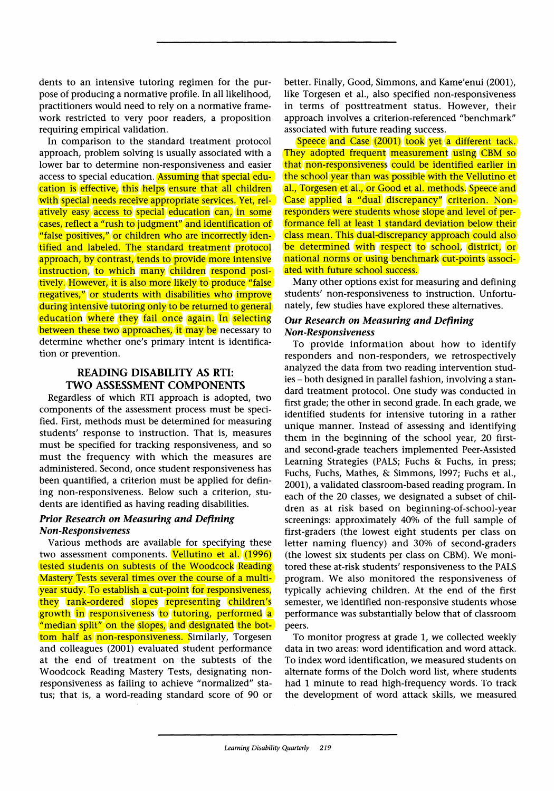**dents to an intensive tutoring regimen for the purpose of producing a normative profile. In all likelihood, practitioners would need to rely on a normative framework restricted to very poor readers, a proposition requiring empirical validation.** 

**In comparison to the standard treatment protocol approach, problem solving is usually associated with a lower bar to determine non-responsiveness and easier access to special education. Assuming that special education is effective, this helps ensure that all children with special needs receive appropriate services. Yet, relatively easy access to special education can, in some cases, reflect a "rush to judgment" and identification of "false positives," or children who are incorrectly identified and labeled. The standard treatment protocol approach, by contrast, tends to provide more intensive**  instruction, to which many children respond posi**tively. However, it is also more likely to produce "false negatives," or students with disabilities who improve during intensive tutoring only to be returned to general education where they fail once again. In selecting between these two approaches, it may be necessary to determine whether one's primary intent is identification or prevention.** 

### **READING DISABILITY AS RTI: TWO ASSESSMENT COMPONENTS**

**Regardless of which RTI approach is adopted, two components of the assessment process must be specified. First, methods must be determined for measuring students' response to instruction. That is, measures must be specified for tracking responsiveness, and so must the frequency with which the measures are administered. Second, once student responsiveness has been quantified, a criterion must be applied for defining non-responsiveness. Below such a criterion, students are identified as having reading disabilities.** 

#### **Prior Research on Measuring and Defining Non-Responsiveness**

**Various methods are available for specifying these two assessment components. Vellutino et al. (1996) tested students on subtests of the Woodcock Reading Mastery Tests several times over the course of a multiyear study. To establish a cut-point for responsiveness, they rank-ordered slopes representing children's growth in responsiveness to tutoring, performed a "median split" on the slopes, and designated the bottom half as non-responsiveness. Similarly, Torgesen and colleagues (2001) evaluated student performance at the end of treatment on the subtests of the Woodcock Reading Mastery Tests, designating nonresponsiveness as failing to achieve "normalized" status; that is, a word-reading standard score of 90 or** 

**better. Finally, Good, Simmons, and Kame'enui (2001), like Torgesen et al., also specified non-responsiveness in terms of posttreatment status. However, their approach involves a criterion-referenced "benchmark" associated with future reading success.** 

**Speece and Case (2001) took yet a different tack. They adopted frequent measurement using CBM so that non-responsiveness could be identified earlier in the school year than was possible with the Vellutino et al., Torgesen et al., or Good et al. methods. Speece and Case applied a "dual discrepancy" criterion. Nonresponders were students whose slope and level of performance fell at least 1 standard deviation below their class mean. This dual-discrepancy approach could also be determined with respect to school, district, or national norms or using benchmark cut-points associated with future school success.** 

**Many other options exist for measuring and defining students' non-responsiveness to instruction. Unfortunately, few studies have explored these alternatives.** 

#### **Our Research on Measuring and Defining Non-Responsiveness**

**To provide information about how to identify responders and non-responders, we retrospectively analyzed the data from two reading intervention studies - both designed in parallel fashion, involving a standard treatment protocol. One study was conducted in first grade; the other in second grade. In each grade, we identified students for intensive tutoring in a rather unique manner. Instead of assessing and identifying them in the beginning of the school year, 20 firstand second-grade teachers implemented Peer-Assisted Learning Strategies (PALS; Fuchs & Fuchs, in press; Fuchs, Fuchs, Mathes, & Simmons, 1997; Fuchs et al., 2001), a validated classroom-based reading program. In each of the 20 classes, we designated a subset of children as at risk based on beginning-of-school-year screenings: approximately 40% of the full sample of first-graders (the lowest eight students per class on letter naming fluency) and 30% of second-graders (the lowest six students per class on CBM). We monitored these at-risk students' responsiveness to the PALS program. We also monitored the responsiveness of typically achieving children. At the end of the first semester, we identified non-responsive students whose performance was substantially below that of classroom peers.** 

**To monitor progress at grade 1, we collected weekly data in two areas: word identification and word attack. To index word identification, we measured students on alternate forms of the Dolch word list, where students had 1 minute to read high-frequency words. To track the development of word attack skills, we measured**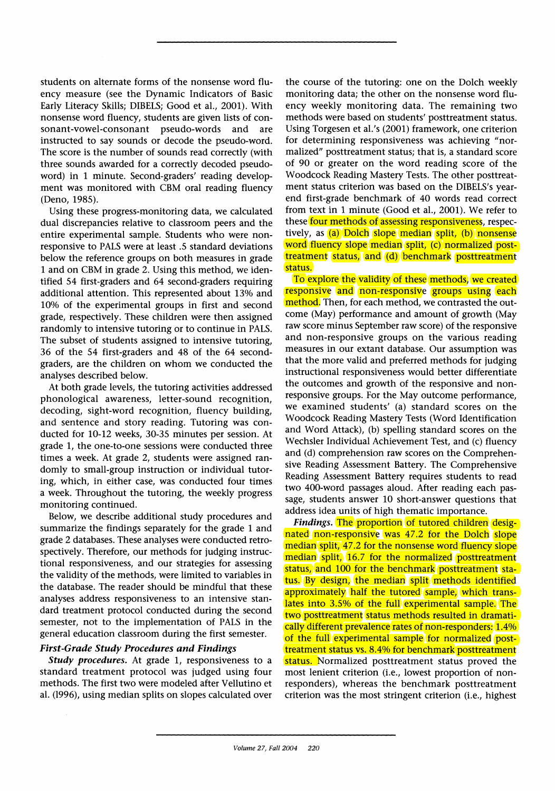**students on alternate forms of the nonsense word fluency measure (see the Dynamic Indicators of Basic Early Literacy Skills; DIBELS; Good et al., 2001). With nonsense word fluency, students are given lists of con**sonant-vowel-consonant pseudo-words **instructed to say sounds or decode the pseudo-word. The score is the number of sounds read correctly (with three sounds awarded for a correctly decoded pseudoword) in 1 minute. Second-graders' reading development was monitored with CBM oral reading fluency (Deno, 1985).** 

**Using these progress-monitoring data, we calculated dual discrepancies relative to classroom peers and the entire experimental sample. Students who were nonresponsive to PALS were at least .5 standard deviations below the reference groups on both measures in grade 1 and on CBM in grade 2. Using this method, we identified 54 first-graders and 64 second-graders requiring additional attention. This represented about 13% and 10% of the experimental groups in first and second grade, respectively. These children were then assigned randomly to intensive tutoring or to continue in PALS. The subset of students assigned to intensive tutoring, 36 of the 54 first-graders and 48 of the 64 secondgraders, are the children on whom we conducted the analyses described below.** 

**At both grade levels, the tutoring activities addressed phonological awareness, letter-sound recognition, decoding, sight-word recognition, fluency building, and sentence and story reading. Tutoring was conducted for 10-12 weeks, 30-35 minutes per session. At grade 1, the one-to-one sessions were conducted three times a week. At grade 2, students were assigned randomly to small-group instruction or individual tutoring, which, in either case, was conducted four times a week. Throughout the tutoring, the weekly progress monitoring continued.** 

**Below, we describe additional study procedures and summarize the findings separately for the grade 1 and grade 2 databases. These analyses were conducted retrospectively. Therefore, our methods for judging instructional responsiveness, and our strategies for assessing the validity of the methods, were limited to variables in the database. The reader should be mindful that these analyses address responsiveness to an intensive standard treatment protocol conducted during the second semester, not to the implementation of PALS in the general education classroom during the first semester.** 

#### **First-Grade Study Procedures and Findings**

**Study procedures. At grade 1, responsiveness to a standard treatment protocol was judged using four methods. The first two were modeled after Vellutino et al. (1996), using median splits on slopes calculated over**  **the course of the tutoring: one on the Dolch weekly monitoring data; the other on the nonsense word fluency weekly monitoring data. The remaining two methods were based on students' posttreatment status. Using Torgesen et al.'s (2001) framework, one criterion for determining responsiveness was achieving "normalized" posttreatment status; that is, a standard score of 90 or greater on the word reading score of the Woodcock Reading Mastery Tests. The other posttreatment status criterion was based on the DIBELS's yearend first-grade benchmark of 40 words read correct from text in 1 minute (Good et al., 2001). We refer to these four methods of assessing responsiveness, respectively, as (a) Dolch slope median split, (b) nonsense word fluency slope median split, (c) normalized posttreatment status, and (d) benchmark posttreatment status.** 

**To explore the validity of these methods, we created responsive and non-responsive groups using each method. Then, for each method, we contrasted the outcome (May) performance and amount of growth (May raw score minus September raw score) of the responsive and non-responsive groups on the various reading measures in our extant database. Our assumption was that the more valid and preferred methods for judging instructional responsiveness would better differentiate the outcomes and growth of the responsive and nonresponsive groups. For the May outcome performance, we examined students' (a) standard scores on the Woodcock Reading Mastery Tests (Word Identification and Word Attack), (b) spelling standard scores on the Wechsler Individual Achievement Test, and (c) fluency and (d) comprehension raw scores on the Comprehensive Reading Assessment Battery. The Comprehensive Reading Assessment Battery requires students to read two 400-word passages aloud. After reading each passage, students answer 10 short-answer questions that address idea units of high thematic importance.** 

**Findings. The proportion of tutored children designated non-responsive was 47.2 for the Dolch slope median split, 47.2 for the nonsense word fluency slope median split, 16.7 for the normalized posttreatment status, and 100 for the benchmark posttreatment status. By design, the median split methods identified approximately half the tutored sample, which translates into 3.5% of the full experimental sample. The two posttreatment status methods resulted in dramatically different prevalence rates of non-responders: 1.4% of the full experimental sample for normalized posttreatment status vs. 8.4% for benchmark posttreatment status. Normalized posttreatment status proved the most lenient criterion (i.e., lowest proportion of nonresponders), whereas the benchmark posttreatment criterion was the most stringent criterion (i.e., highest**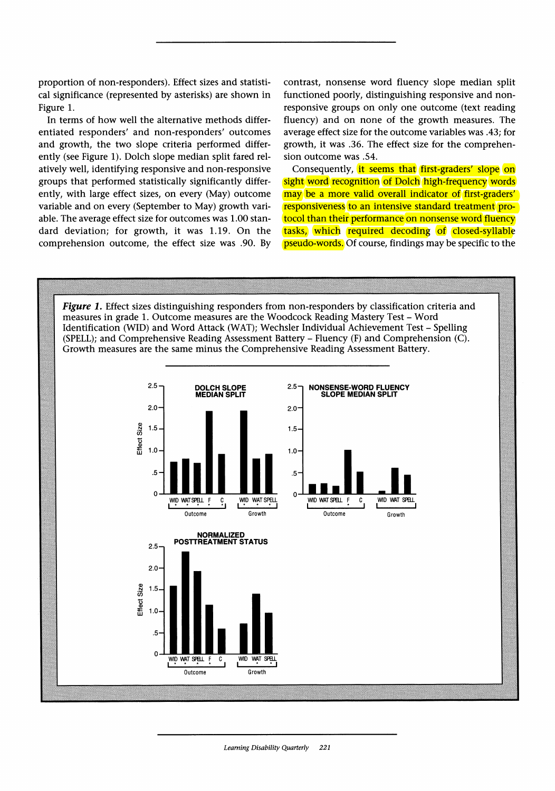**proportion of non-responders). Effect sizes and statistical significance (represented by asterisks) are shown in Figure 1.** 

**In terms of how well the alternative methods differentiated responders' and non-responders' outcomes and growth, the two slope criteria performed differently (see Figure 1). Dolch slope median split fared relatively well, identifying responsive and non-responsive groups that performed statistically significantly differently, with large effect sizes, on every (May) outcome variable and on every (September to May) growth variable. The average effect size for outcomes was 1.00 standard deviation; for growth, it was 1.19. On the comprehension outcome, the effect size was .90. By**  **contrast, nonsense word fluency slope median split functioned poorly, distinguishing responsive and nonresponsive groups on only one outcome (text reading fluency) and on none of the growth measures. The average effect size for the outcome variables was .43; for growth, it was .36. The effect size for the comprehension outcome was .54.** 

**Consequently, it seems that first-graders' slope on sight word recognition of Dolch high-frequency words may be a more valid overall indicator of first-graders' responsiveness to an intensive standard treatment protocol than their performance on nonsense word fluency tasks, which required decoding of closed-syllable pseudo-words. Of course, findings may be specific to the** 

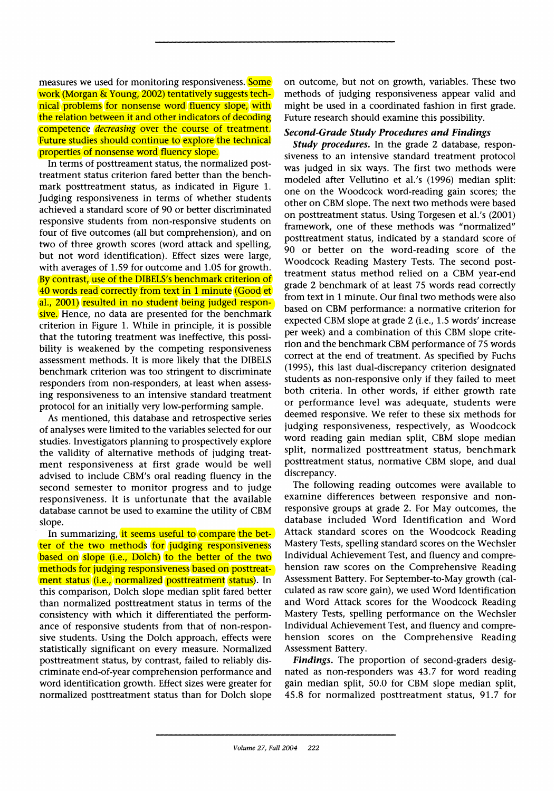**measures we used for monitoring responsiveness. Some work (Morgan & Young, 2002) tentatively suggests technical problems for nonsense word fluency slope, with the relation between it and other indicators of decoding competence decreasing over the course of treatment. Future studies should continue to explore the technical properties of nonsense word fluency slope.** 

**In terms of posttreament status, the normalized posttreatment status criterion fared better than the benchmark posttreatment status, as indicated in Figure 1. Judging responsiveness in terms of whether students achieved a standard score of 90 or better discriminated responsive students from non-responsive students on four of five outcomes (all but comprehension), and on two of three growth scores (word attack and spelling, but not word identification). Effect sizes were large, with averages of 1.59 for outcome and 1.05 for growth. By contrast, use of the DIBELS's benchmark criterion of 40 words read correctly from text in 1 minute (Good et al., 2001) resulted in no student being judged responsive. Hence, no data are presented for the benchmark criterion in Figure 1. While in principle, it is possible that the tutoring treatment was ineffective, this possibility is weakened by the competing responsiveness assessment methods. It is more likely that the DIBELS benchmark criterion was too stringent to discriminate responders from non-responders, at least when assessing responsiveness to an intensive standard treatment protocol for an initially very low-performing sample.** 

**As mentioned, this database and retrospective series of analyses were limited to the variables selected for our studies. Investigators planning to prospectively explore the validity of alternative methods of judging treatment responsiveness at first grade would be well advised to include CBM's oral reading fluency in the second semester to monitor progress and to judge responsiveness. It is unfortunate that the available database cannot be used to examine the utility of CBM slope.** 

In summarizing, it seems useful to compare the bet**ter of the two methods for judging responsiveness based on slope (i.e., Dolch) to the better of the two methods for judging responsiveness based on posttreatment status (i.e., normalized posttreatment status). In this comparison, Dolch slope median split fared better than normalized posttreatment status in terms of the consistency with which it differentiated the performance of responsive students from that of non-responsive students. Using the Dolch approach, effects were statistically significant on every measure. Normalized posttreatment status, by contrast, failed to reliably discriminate end-of-year comprehension performance and word identification growth. Effect sizes were greater for normalized posttreatment status than for Dolch slope** 

**on outcome, but not on growth, variables. These two methods of judging responsiveness appear valid and might be used in a coordinated fashion in first grade. Future research should examine this possibility.** 

#### **Second-Grade Study Procedures and Findings**

**Study procedures. In the grade 2 database, responsiveness to an intensive standard treatment protocol was judged in six ways. The first two methods were modeled after Vellutino et al.'s (1996) median split: one on the Woodcock word-reading gain scores; the other on CBM slope. The next two methods were based on posttreatment status. Using Torgesen et al.'s (2001) framework, one of these methods was "normalized" posttreatment status, indicated by a standard score of 90 or better on the word-reading score of the Woodcock Reading Mastery Tests. The second posttreatment status method relied on a CBM year-end grade 2 benchmark of at least 75 words read correctly from text in 1 minute. Our final two methods were also based on CBM performance: a normative criterion for expected CBM slope at grade 2 (i.e., 1.5 words' increase per week) and a combination of this CBM slope criterion and the benchmark CBM performance of 75 words correct at the end of treatment. As specified by Fuchs (1995), this last dual-discrepancy criterion designated students as non-responsive only if they failed to meet both criteria. In other words, if either growth rate or performance level was adequate, students were deemed responsive. We refer to these six methods for judging responsiveness, respectively, as Woodcock word reading gain median split, CBM slope median split, normalized posttreatment status, benchmark posttreatment status, normative CBM slope, and dual discrepancy.** 

**The following reading outcomes were available to examine differences between responsive and nonresponsive groups at grade 2. For May outcomes, the database included Word Identification and Word Attack standard scores on the Woodcock Reading Mastery Tests, spelling standard scores on the Wechsler Individual Achievement Test, and fluency and comprehension raw scores on the Comprehensive Reading Assessment Battery. For September-to-May growth (calculated as raw score gain), we used Word Identification and Word Attack scores for the Woodcock Reading Mastery Tests, spelling performance on the Wechsler Individual Achievement Test, and fluency and comprehension scores on the Comprehensive Reading Assessment Battery.** 

**Findings. The proportion of second-graders designated as non-responders was 43.7 for word reading gain median split, 50.0 for CBM slope median split, 45.8 for normalized posttreatment status, 91.7 for**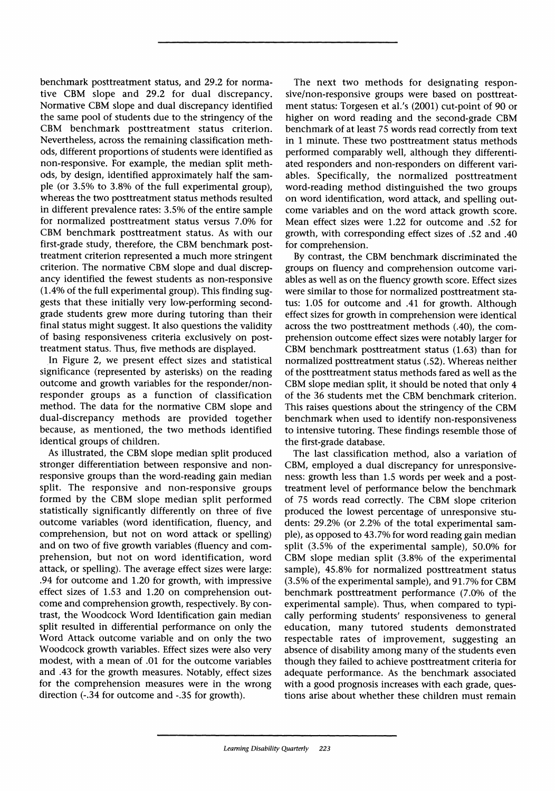**benchmark posttreatment status, and 29.2 for normative CBM slope and 29.2 for dual discrepancy. Normative CBM slope and dual discrepancy identified the same pool of students due to the stringency of the CBM benchmark posttreatment status criterion. Nevertheless, across the remaining classification methods, different proportions of students were identified as non-responsive. For example, the median split methods, by design, identified approximately half the sample (or 3.5% to 3.8% of the full experimental group), whereas the two posttreatment status methods resulted in different prevalence rates: 3.5% of the entire sample for normalized posttreatment status versus 7.0% for CBM benchmark posttreatment status. As with our first-grade study, therefore, the CBM benchmark posttreatment criterion represented a much more stringent criterion. The normative CBM slope and dual discrepancy identified the fewest students as non-responsive (1.4% of the full experimental group). This finding suggests that these initially very low-performing secondgrade students grew more during tutoring than their final status might suggest. It also questions the validity of basing responsiveness criteria exclusively on posttreatment status. Thus, five methods are displayed.** 

**In Figure 2, we present effect sizes and statistical significance (represented by asterisks) on the reading outcome and growth variables for the responder/nonresponder groups as a function of classification method. The data for the normative CBM slope and dual-discrepancy methods are provided together because, as mentioned, the two methods identified identical groups of children.** 

**As illustrated, the CBM slope median split produced stronger differentiation between responsive and nonresponsive groups than the word-reading gain median split. The responsive and non-responsive groups formed by the CBM slope median split performed statistically significantly differently on three of five outcome variables (word identification, fluency, and comprehension, but not on word attack or spelling) and on two of five growth variables (fluency and comprehension, but not on word identification, word attack, or spelling). The average effect sizes were large: .94 for outcome and 1.20 for growth, with impressive effect sizes of 1.53 and 1.20 on comprehension outcome and comprehension growth, respectively. By contrast, the Woodcock Word Identification gain median split resulted in differential performance on only the Word Attack outcome variable and on only the two Woodcock growth variables. Effect sizes were also very modest, with a mean of .01 for the outcome variables and .43 for the growth measures. Notably, effect sizes for the comprehension measures were in the wrong direction (-.34 for outcome and -.35 for growth).** 

**The next two methods for designating responsive/non-responsive groups were based on posttreatment status: Torgesen et al.'s (2001) cut-point of 90 or higher on word reading and the second-grade CBM benchmark of at least 75 words read correctly from text in 1 minute. These two posttreatment status methods performed comparably well, although they differentiated responders and non-responders on different variables. Specifically, the normalized posttreatment word-reading method distinguished the two groups on word identification, word attack, and spelling outcome variables and on the word attack growth score. Mean effect sizes were 1.22 for outcome and .52 for growth, with corresponding effect sizes of .52 and .40 for comprehension.** 

**By contrast, the CBM benchmark discriminated the groups on fluency and comprehension outcome variables as well as on the fluency growth score. Effect sizes were similar to those for normalized posttreatment status: 1.05 for outcome and .41 for growth. Although effect sizes for growth in comprehension were identical across the two posttreatment methods (.40), the comprehension outcome effect sizes were notably larger for CBM benchmark posttreatment status (1.63) than for normalized posttreatment status (.52). Whereas neither of the posttreatment status methods fared as well as the CBM slope median split, it should be noted that only 4 of the 36 students met the CBM benchmark criterion. This raises questions about the stringency of the CBM benchmark when used to identify non-responsiveness to intensive tutoring. These findings resemble those of the first-grade database.** 

**The last classification method, also a variation of CBM, employed a dual discrepancy for unresponsiveness: growth less than 1.5 words per week and a posttreatment level of performance below the benchmark of 75 words read correctly. The CBM slope criterion produced the lowest percentage of unresponsive students: 29.2% (or 2.2% of the total experimental sample), as opposed to 43.7% for word reading gain median split (3.5% of the experimental sample), 50.0% for CBM slope median split (3.8% of the experimental sample), 45.8% for normalized posttreatment status (3.5% of the experimental sample), and 91.7% for CBM benchmark posttreatment performance (7.0% of the experimental sample). Thus, when compared to typically performing students' responsiveness to general education, many tutored students demonstrated respectable rates of improvement, suggesting an absence of disability among many of the students even though they failed to achieve posttreatment criteria for adequate performance. As the benchmark associated with a good prognosis increases with each grade, questions arise about whether these children must remain**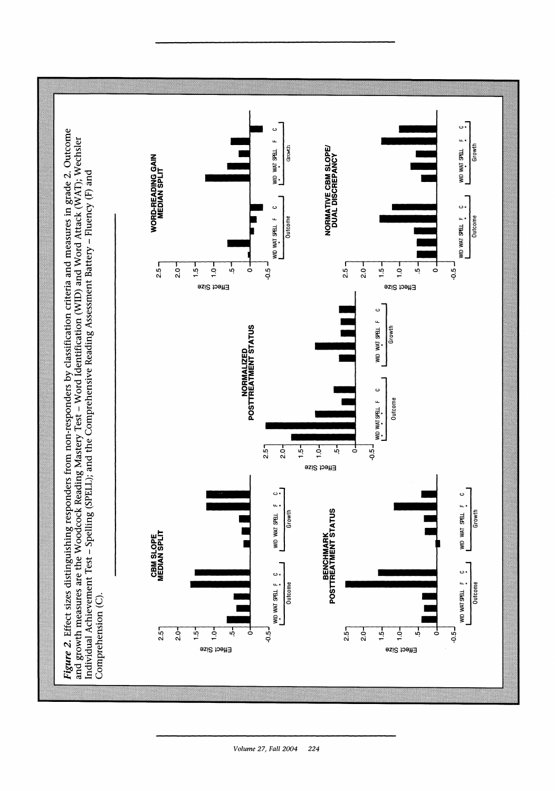

Volume 27, Fall 2004 224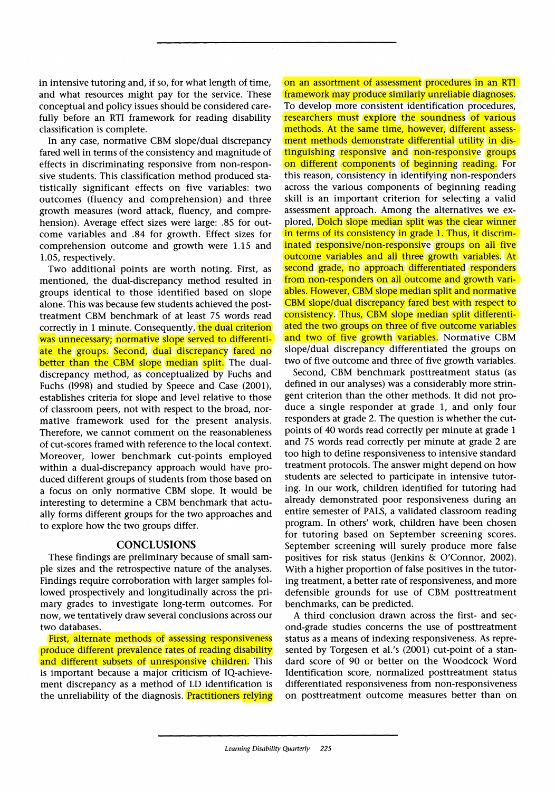**in intensive tutoring and, if so, for what length of time, and what resources might pay for the service. These conceptual and policy issues should be considered carefully before an RTI framework for reading disability classification is complete.** 

**In any case, normative CBM slope/dual discrepancy fared well in terms of the consistency and magnitude of effects in discriminating responsive from non-responsive students. This classification method produced statistically significant effects on five variables: two outcomes (fluency and comprehension) and three growth measures (word attack, fluency, and comprehension). Average effect sizes were large: .85 for outcome variables and .84 for growth. Effect sizes for comprehension outcome and growth were 1.15 and 1.05, respectively.** 

**Two additional points are worth noting. First, as mentioned, the dual-discrepancy method resulted in groups identical to those identified based on slope alone. This was because few students achieved the posttreatment CBM benchmark of at least 75 words read correctly in 1 minute. Consequently, the dual criterion was unnecessary; normative slope served to differentiate the groups. Second, dual discrepancy fared no better than the CBM slope median split.** The dual**discrepancy method, as conceptualized by Fuchs and Fuchs (1998) and studied by Speece and Case (2001), establishes criteria for slope and level relative to those of classroom peers, not with respect to the broad, normative framework used for the present analysis. Therefore, we cannot comment on the reasonableness of cut-scores framed with reference to the local context. Moreover, lower benchmark cut-points employed within a dual-discrepancy approach would have produced different groups of students from those based on a focus on only normative CBM slope. It would be interesting to determine a CBM benchmark that actually forms different groups for the two approaches and to explore how the two groups differ.** 

#### **CONCLUSIONS**

**These findings are preliminary because of small sample sizes and the retrospective nature of the analyses. Findings require corroboration with larger samples followed prospectively and longitudinally across the primary grades to investigate long-term outcomes. For now, we tentatively draw several conclusions across our two databases.** 

**First, alternate methods of assessing responsiveness produce different prevalence rates of reading disability and different subsets of unresponsive children. This is important because a major criticism of IQ-achievement discrepancy as a method of LD identification is the unreliability of the diagnosis. Practitioners relying**  **on an assortment of assessment procedures in an RTI framework may produce similarly unreliable diagnoses. To develop more consistent identification procedures, researchers must explore the soundness of various**  methods. At the same time, however, different assess**ment methods demonstrate differential utility in distinguishing responsive and non-responsive groups on different components of beginning reading. For this reason, consistency in identifying non-responders across the various components of beginning reading skill is an important criterion for selecting a valid assessment approach. Among the alternatives we explored, Dolch slope median split was the clear winner**  in terms of its consistency in grade 1. Thus, it discrim**inated responsive/non-responsive groups on all five outcome variables and all three growth variables. At second grade, no approach differentiated responders from non-responders on all outcome and growth variables. However, CBM slope median split and normative CBM slope/dual discrepancy fared best with respect to consistency. Thus, CBM slope median split differentiated the two groups on three of five outcome variables and two of five growth variables. Normative CBM slope/dual discrepancy differentiated the groups on two of five outcome and three of five growth variables.** 

**Second, CBM benchmark posttreatment status (as defined in our analyses) was a considerably more stringent criterion than the other methods. It did not produce a single responder at grade 1, and only four responders at grade 2. The question is whether the cutpoints of 40 words read correctly per minute at grade 1 and 75 words read correctly per minute at grade 2 are too high to define responsiveness to intensive standard treatment protocols. The answer might depend on how students are selected to participate in intensive tutoring. In our work, children identified for tutoring had already demonstrated poor responsiveness during an entire semester of PALS, a validated classroom reading program. In others' work, children have been chosen for tutoring based on September screening scores. September screening will surely produce more false**  positives for risk status (Jenkins & O'Connor, 2002). **With a higher proportion of false positives in the tutoring treatment, a better rate of responsiveness, and more defensible grounds for use of CBM posttreatment benchmarks, can be predicted.** 

**A third conclusion drawn across the first- and second-grade studies concerns the use of posttreatment status as a means of indexing responsiveness. As represented by Torgesen et al.'s (2001) cut-point of a standard score of 90 or better on the Woodcock Word Identification score, normalized posttreatment status differentiated responsiveness from non-responsiveness on posttreatment outcome measures better than on**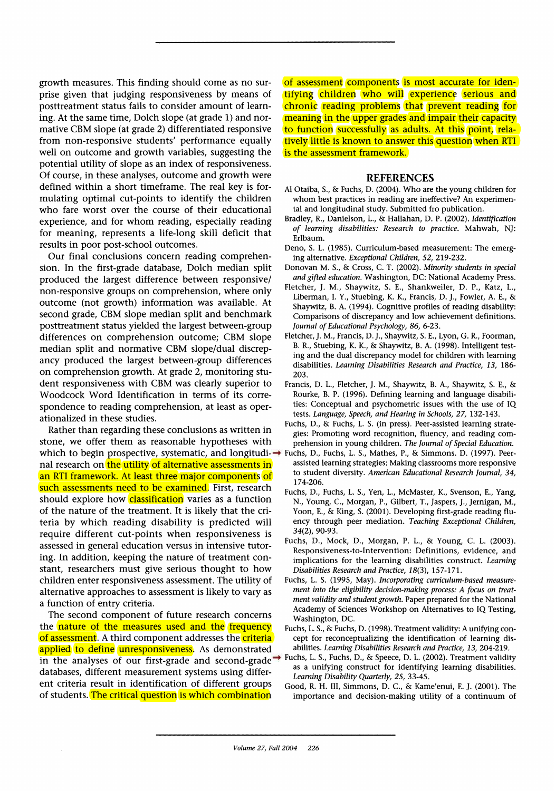**growth measures. This finding should come as no surprise given that judging responsiveness by means of posttreatment status fails to consider amount of learning. At the same time, Dolch slope (at grade 1) and normative CBM slope (at grade 2) differentiated responsive from non-responsive students' performance equally well on outcome and growth variables, suggesting the potential utility of slope as an index of responsiveness. Of course, in these analyses, outcome and growth were defined within a short timeframe. The real key is formulating optimal cut-points to identify the children who fare worst over the course of their educational experience, and for whom reading, especially reading for meaning, represents a life-long skill deficit that results in poor post-school outcomes.** 

**Our final conclusions concern reading comprehension. In the first-grade database, Dolch median split produced the largest difference between responsive/ non-responsive groups on comprehension, where only outcome (not growth) information was available. At second grade, CBM slope median split and benchmark posttreatment status yielded the largest between-group differences on comprehension outcome; CBM slope median split and normative CBM slope/dual discrepancy produced the largest between-group differences on comprehension growth. At grade 2, monitoring student responsiveness with CBM was clearly superior to Woodcock Word Identification in terms of its correspondence to reading comprehension, at least as operationalized in these studies.** 

**Rather than regarding these conclusions as written in stone, we offer them as reasonable hypotheses with which to begin prospective, systematic, and longitudi-Fuchs, D., Fuchs, L. S., Mathes, P., & Simmons. D. (1997). Peernal research on the utility of alternative assessments in an RTI framework. At least three major components of such assessments need to be examined. First, research should explore how classification varies as a function of the nature of the treatment. It is likely that the criteria by which reading disability is predicted will require different cut-points when responsiveness is assessed in general education versus in intensive tutoring. In addition, keeping the nature of treatment constant, researchers must give serious thought to how children enter responsiveness assessment. The utility of alternative approaches to assessment is likely to vary as a function of entry criteria.** 

**The second component of future research concerns the nature of the measures used and the frequency of assessment. A third component addresses the criteria applied to define unresponsiveness. As demonstrated in the analyses of our first-grade and second-grade → Fuchs, L. S., Fuchs, D., & Speece, D. L. (2002). Treatment validity in the analyses of our first-grade and second-grade → Fuchs, L. S., Fuchs, D., & Speece, D. L. (20 databases, different measurement systems using different criteria result in identification of different groups of students. The critical question is which combination** 

**of assessment components is most accurate for identifying children who will experience serious and chronic reading problems that prevent reading for meaning in the upper grades and impair their capacity to function successfully as adults. At this point, relatively little is known to answer this question when RTI is the assessment framework.** 

#### **REFERENCES**

- **Al Otaiba, S., & Fuchs, D. (2004). Who are the young children for whom best practices in reading are ineffective? An experimental and longitudinal study. Submitted fro publication.**
- **Bradley, R., Danielson, L., & Hallahan, D. P. (2002). Identification of learning disabilities: Research to practice. Mahwah, NJ: Erlbaum.**
- **Deno, S. L. (1985). Curriculum-based measurement: The emerging alternative. Exceptional Children, 52, 219-232.**
- **Donovan M. S., & Cross, C. T. (2002). Minority students in special and gifted education. Washington, DC: National Academy Press.**
- **Fletcher, J. M., Shaywitz, S. E., Shankweiler, D. P., Katz, L., Liberman, I. Y., Stuebing, K. K., Francis, D. J., Fowler, A. E., & Shaywitz, B. A. (1994). Cognitive profiles of reading disability: Comparisons of discrepancy and low achievement definitions. Journal of Educational Psychology, 86, 6-23.**
- **Fletcher, J. M., Francis, D. J., Shaywitz, S. E., Lyon, G. R., Foorman, B. R., Stuebing, K. K., & Shaywitz, B. A. (1998). Intelligent testing and the dual discrepancy model for children with learning disabilities. Learning Disabilities Research and Practice, 13, 186- 203.**
- **Francis, D. L., Fletcher, J. M., Shaywitz, B. A., Shaywitz, S. E., & Rourke, B. P. (1996). Defining learning and language disabilities: Conceptual and psychometric issues with the use of IQ tests. Language, Speech, and Hearing in Schools, 27, 132-143.**
- **Fuchs, D., & Fuchs, L. S. (in press). Peer-assisted learning strategies: Promoting word recognition, fluency, and reading comprehension in young children. The Journal of Special Education.**
- **assisted learning strategies: Making classrooms more responsive to student diversity. American Educational Research Journal, 34, 174-206.**
- **Fuchs, D., Fuchs, L. S., Yen, L., McMaster, K., Svenson, E., Yang, N., Young, C., Morgan, P., Gilbert, T., Jaspers, J., Jernigan, M., Yoon, E., & King, S. (2001). Developing first-grade reading fluency through peer mediation. Teaching Exceptional Children, 34(2), 90-93.**
- **Fuchs, D., Mock, D., Morgan, P. L., & Young, C. L. (2003). Responsiveness-to-Intervention: Definitions, evidence, and implications for the learning disabilities construct. Learning Disabilities Research and Practice, 18(3), 157-171.**
- **Fuchs, L. S. (1995, May). Incorporating curriculum-based measurement into the eligibility decision-making process: A focus on treatment validity and student growth. Paper prepared for the National Academy of Sciences Workshop on Alternatives to IQ Testing, Washington, DC.**
- **Fuchs, L. S., & Fuchs, D. (1998). Treatment validity: A unifying concept for reconceptualizing the identification of learning disabilities. Learning Disabilities Research and Practice, 13, 204-219.**
- **as a unifying construct for identifying learning disabilities. Learning Disability Quarterly, 25, 33-45.**
- **Good, R. H. III, Simmons, D. C., & Kame'enui, E. J. (2001). The importance and decision-making utility of a continuum of**